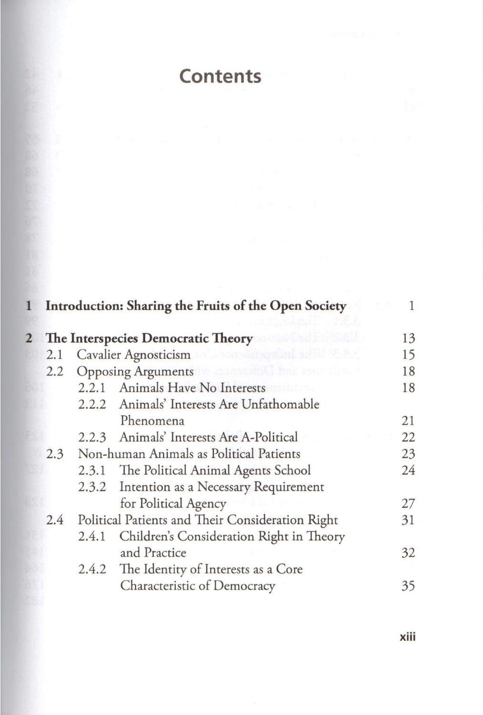## **Contents**

|     |                                                                          |       | Introduction: Sharing the Fruits of the Open Society |    |
|-----|--------------------------------------------------------------------------|-------|------------------------------------------------------|----|
|     |                                                                          |       | 2 The Interspecies Democratic Theory<br>udinant.     | 13 |
|     | Cavalier Agnosticism and the contract of the Cavalier Agnosticism<br>2.1 |       |                                                      | 15 |
| 2.2 |                                                                          |       | Opposing Arguments was a state that the contract of  | 18 |
|     |                                                                          |       | 2.2.1 Animals Have No Interests                      | 18 |
|     |                                                                          |       | 2.2.2 Animals' Interests Are Unfathomable            |    |
|     |                                                                          |       | Phenomena                                            | 21 |
|     |                                                                          |       | 2.2.3 Animals' Interests Are A-Political             | 22 |
|     | 2.3                                                                      |       | Non-human Animals as Political Patients              | 23 |
|     |                                                                          |       | 2.3.1 The Political Animal Agents School             | 24 |
|     |                                                                          | 2.3.2 | Intention as a Necessary Requirement                 |    |
|     |                                                                          |       | for Political Agency                                 | 27 |
|     | Political Patients and Their Consideration Right<br>2.4                  |       | 31                                                   |    |
|     |                                                                          | 2.4.1 | Children's Consideration Right in Theory             |    |
|     |                                                                          |       | and Practice                                         | 32 |
|     |                                                                          |       | 2.4.2 The Identity of Interests as a Core            |    |
|     |                                                                          |       | Characteristic of Democracy                          | 35 |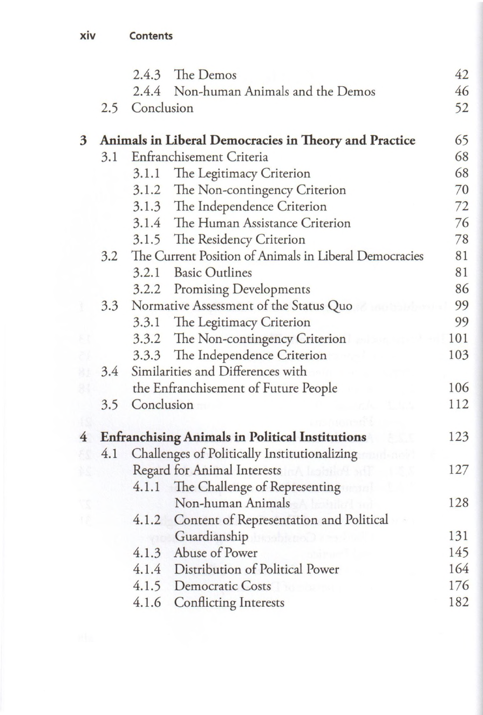|                | The Demos<br>2.4.3                  |                                                               | 42                                                    |     |
|----------------|-------------------------------------|---------------------------------------------------------------|-------------------------------------------------------|-----|
|                |                                     | 2.4.4 Non-human Animals and the Demos                         |                                                       | 46  |
|                | 2.5                                 | Conclusion                                                    |                                                       |     |
| $\mathbf{3}$   |                                     |                                                               | Animals in Liberal Democracies in Theory and Practice | 65  |
|                | Enfranchisement Criteria<br>3.1     |                                                               | 68                                                    |     |
|                | The Legitimacy Criterion<br>3.1.1   |                                                               | 68                                                    |     |
|                | 3.1.2 The Non-contingency Criterion |                                                               | 70                                                    |     |
|                |                                     |                                                               | 3.1.3 The Independence Criterion                      | 72  |
|                |                                     |                                                               | 3.1.4 The Human Assistance Criterion                  | 76  |
|                |                                     |                                                               | 3.1.5 The Residency Criterion                         | 78  |
|                |                                     | The Current Position of Animals in Liberal Democracies<br>3.2 |                                                       | 81  |
|                |                                     | 3.2.1                                                         | <b>Basic Outlines</b>                                 | 81  |
|                |                                     |                                                               | 3.2.2 Promising Developments                          | 86  |
|                | 3.3                                 | Normative Assessment of the Status Quo                        |                                                       | 99  |
|                |                                     |                                                               | 3.3.1 The Legitimacy Criterion                        | 99  |
|                |                                     |                                                               | 3.3.2 The Non-contingency Criterion                   | 101 |
|                |                                     |                                                               | 3.3.3 The Independence Criterion                      | 103 |
|                | 3.4                                 | Similarities and Differences with                             |                                                       |     |
|                |                                     | the Enfranchisement of Future People                          |                                                       | 106 |
|                | 3.5                                 | Conclusion                                                    |                                                       | 112 |
|                |                                     |                                                               |                                                       |     |
| $\overline{4}$ |                                     | <b>Enfranchising Animals in Political Institutions</b>        |                                                       | 123 |
|                | 4.1                                 | Challenges of Politically Institutionalizing                  |                                                       |     |
|                |                                     | Regard for Animal Interests                                   |                                                       | 127 |
|                |                                     | 4.1.1                                                         | The Challenge of Representing                         |     |
|                |                                     |                                                               | Non-human Animals<br>holaileil ad                     | 128 |
|                |                                     | 4.1.2                                                         | Content of Representation and Political               |     |
|                |                                     |                                                               | Guardianship                                          | 131 |
|                |                                     |                                                               | 4.1.3 Abuse of Power<br>See Stations                  | 145 |
|                |                                     |                                                               | 4.1.4 Distribution of Political Power                 | 164 |
|                |                                     |                                                               | 4.1.5 Democratic Costs                                | 176 |
|                |                                     | 4.1.6                                                         | <b>Conflicting Interests</b>                          | 182 |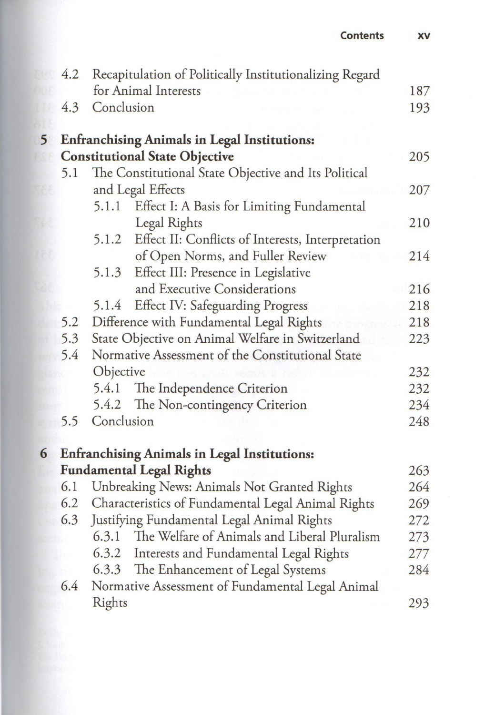| <b>Contents</b> |  |
|-----------------|--|
|-----------------|--|

|                | 4.2                                                                  | Recapitulation of Politically Institutionalizing Regard<br>for Animal Interests                            |            |  |  |
|----------------|----------------------------------------------------------------------|------------------------------------------------------------------------------------------------------------|------------|--|--|
|                |                                                                      |                                                                                                            |            |  |  |
|                | 4.3                                                                  | Conclusion                                                                                                 |            |  |  |
| 5 <sup>5</sup> |                                                                      | <b>Enfranchising Animals in Legal Institutions:</b>                                                        |            |  |  |
|                | <b>Constitutional State Objective</b>                                |                                                                                                            |            |  |  |
|                | The Constitutional State Objective and Its Political<br>5.1          |                                                                                                            |            |  |  |
|                | and Legal Effects                                                    |                                                                                                            |            |  |  |
|                |                                                                      | 5.1.1<br>Effect I: A Basis for Limiting Fundamental                                                        |            |  |  |
|                |                                                                      | Legal Rights                                                                                               | 210        |  |  |
|                |                                                                      | 5.1.2 Effect II: Conflicts of Interests, Interpretation                                                    |            |  |  |
|                |                                                                      | of Open Norms, and Fuller Review                                                                           | 214        |  |  |
|                |                                                                      | Effect III: Presence in Legislative<br>5.1.3                                                               |            |  |  |
|                |                                                                      | and Executive Considerations                                                                               | 216        |  |  |
|                |                                                                      | 5.1.4 Effect IV: Safeguarding Progress                                                                     | 218        |  |  |
|                | 5.2                                                                  | Difference with Fundamental Legal Rights                                                                   | 218        |  |  |
|                | 5.3<br>State Objective on Animal Welfare in Switzerland              |                                                                                                            | 223        |  |  |
|                | 5.4<br>Normative Assessment of the Constitutional State<br>Objective |                                                                                                            |            |  |  |
|                |                                                                      |                                                                                                            | 232        |  |  |
|                |                                                                      | The Independence Criterion<br>5.4.1                                                                        | 232        |  |  |
|                |                                                                      | 5.4.2 The Non-contingency Criterion                                                                        | 234        |  |  |
|                | 5.5                                                                  | Conclusion                                                                                                 | 248        |  |  |
|                |                                                                      |                                                                                                            |            |  |  |
| 6              |                                                                      | <b>Enfranchising Animals in Legal Institutions:</b>                                                        |            |  |  |
|                |                                                                      | <b>Fundamental Legal Rights</b>                                                                            | 263        |  |  |
|                | 6.1                                                                  | Unbreaking News: Animals Not Granted Rights                                                                | 264<br>269 |  |  |
|                |                                                                      | 6.2<br>Characteristics of Fundamental Legal Animal Rights                                                  |            |  |  |
|                | 6.3                                                                  | Justifying Fundamental Legal Animal Rights<br>272<br>The Welfare of Animals and Liberal Pluralism<br>6.3.1 |            |  |  |
|                |                                                                      |                                                                                                            | 273        |  |  |
|                |                                                                      | 6.3.2 Interests and Fundamental Legal Rights                                                               | 277        |  |  |
|                |                                                                      | 6.3.3 The Enhancement of Legal Systems                                                                     | 284        |  |  |
|                | Normative Assessment of Fundamental Legal Animal<br>6.4              |                                                                                                            |            |  |  |
|                |                                                                      | Rights                                                                                                     | 293        |  |  |

**XV**